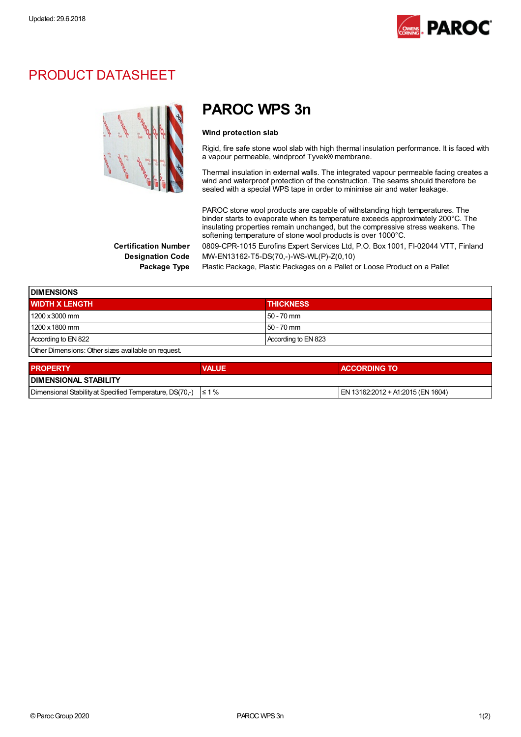

## PRODUCT DATASHEET



# PAROC WPS 3n

#### Wind protection slab

Rigid, fire safe stone wool slab with high thermal insulation performance. It is faced with a vapour permeable, windproof Tyvek® membrane.

Thermal insulation in external walls. The integrated vapour permeable facing creates a wind and waterproof protection of the construction. The seams should therefore be sealed with a special WPS tape in order to minimise air and water leakage.

PAROC stone wool products are capable of withstanding high temperatures. The binder starts to evaporate when its temperature exceeds approximately 200°C. The insulating properties remain unchanged, but the compressive stress weakens. The softening temperature of stone wool products is over 1000°C.

Certification Number 0809-CPR-1015 Eurofins Expert Services Ltd, P.O. Box 1001, FI-02044 VTT, Finland Designation Code MW-EN13162-T5-DS(70,-)-WS-WL(P)-Z(0,10)

Package Type Plastic Package, Plastic Packages on a Pallet or Loose Product on a Pallet

| <b>IDIMENSIONS</b>                                  |                     |  |
|-----------------------------------------------------|---------------------|--|
| <b>WIDTH X LENGTH</b>                               | <b>THICKNESS</b>    |  |
| 1200 x 3000 mm                                      | $50 - 70$ mm        |  |
| 1200 x 1800 mm                                      | $50 - 70$ mm        |  |
| According to EN 822                                 | According to EN 823 |  |
| Other Dimensions: Other sizes available on request. |                     |  |

| <b>PROPERTY</b>                                                     | <b>VALUE</b> | <b>ACCORDING TO</b>                |  |
|---------------------------------------------------------------------|--------------|------------------------------------|--|
| <b>I DIMENSIONAL STABILITY</b>                                      |              |                                    |  |
| Dimensional Stability at Specified Temperature, DS(70,-) $\leq 1\%$ |              | IEN 13162:2012 + A1:2015 (EN 1604) |  |